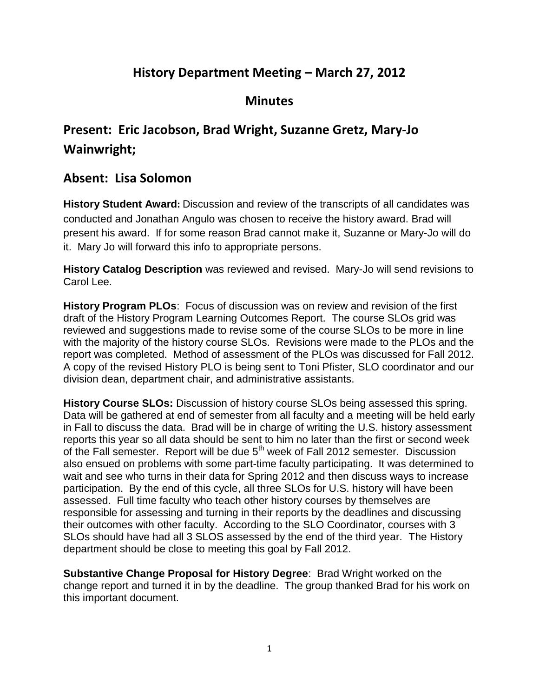## **History Department Meeting – March 27, 2012**

## **Minutes**

## **Present: Eric Jacobson, Brad Wright, Suzanne Gretz, Mary-Jo Wainwright;**

## **Absent: Lisa Solomon**

**History Student Award:** Discussion and review of the transcripts of all candidates was conducted and Jonathan Angulo was chosen to receive the history award. Brad will present his award. If for some reason Brad cannot make it, Suzanne or Mary-Jo will do it. Mary Jo will forward this info to appropriate persons.

**History Catalog Description** was reviewed and revised. Mary-Jo will send revisions to Carol Lee.

**History Program PLOs**: Focus of discussion was on review and revision of the first draft of the History Program Learning Outcomes Report. The course SLOs grid was reviewed and suggestions made to revise some of the course SLOs to be more in line with the majority of the history course SLOs. Revisions were made to the PLOs and the report was completed. Method of assessment of the PLOs was discussed for Fall 2012. A copy of the revised History PLO is being sent to Toni Pfister, SLO coordinator and our division dean, department chair, and administrative assistants.

**History Course SLOs:** Discussion of history course SLOs being assessed this spring. Data will be gathered at end of semester from all faculty and a meeting will be held early in Fall to discuss the data. Brad will be in charge of writing the U.S. history assessment reports this year so all data should be sent to him no later than the first or second week of the Fall semester. Report will be due 5<sup>th</sup> week of Fall 2012 semester. Discussion also ensued on problems with some part-time faculty participating. It was determined to wait and see who turns in their data for Spring 2012 and then discuss ways to increase participation. By the end of this cycle, all three SLOs for U.S. history will have been assessed. Full time faculty who teach other history courses by themselves are responsible for assessing and turning in their reports by the deadlines and discussing their outcomes with other faculty. According to the SLO Coordinator, courses with 3 SLOs should have had all 3 SLOS assessed by the end of the third year. The History department should be close to meeting this goal by Fall 2012.

**Substantive Change Proposal for History Degree**: Brad Wright worked on the change report and turned it in by the deadline. The group thanked Brad for his work on this important document.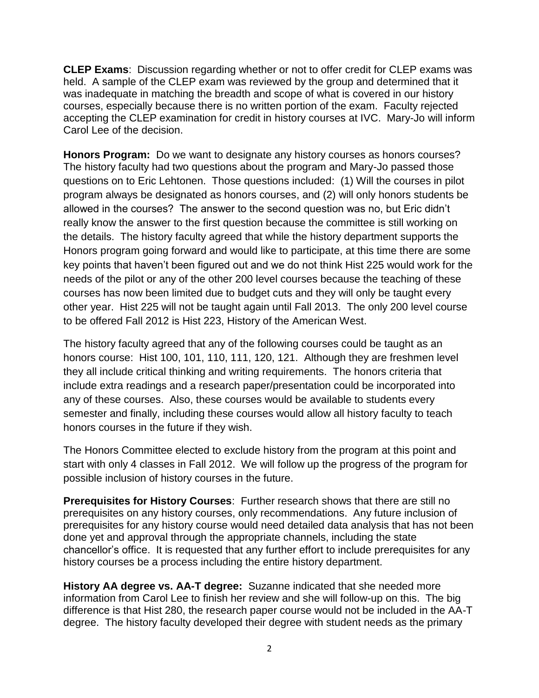**CLEP Exams**: Discussion regarding whether or not to offer credit for CLEP exams was held. A sample of the CLEP exam was reviewed by the group and determined that it was inadequate in matching the breadth and scope of what is covered in our history courses, especially because there is no written portion of the exam. Faculty rejected accepting the CLEP examination for credit in history courses at IVC. Mary-Jo will inform Carol Lee of the decision.

**Honors Program:** Do we want to designate any history courses as honors courses? The history faculty had two questions about the program and Mary-Jo passed those questions on to Eric Lehtonen. Those questions included: (1) Will the courses in pilot program always be designated as honors courses, and (2) will only honors students be allowed in the courses? The answer to the second question was no, but Eric didn't really know the answer to the first question because the committee is still working on the details. The history faculty agreed that while the history department supports the Honors program going forward and would like to participate, at this time there are some key points that haven't been figured out and we do not think Hist 225 would work for the needs of the pilot or any of the other 200 level courses because the teaching of these courses has now been limited due to budget cuts and they will only be taught every other year. Hist 225 will not be taught again until Fall 2013. The only 200 level course to be offered Fall 2012 is Hist 223, History of the American West.

The history faculty agreed that any of the following courses could be taught as an honors course: Hist 100, 101, 110, 111, 120, 121. Although they are freshmen level they all include critical thinking and writing requirements. The honors criteria that include extra readings and a research paper/presentation could be incorporated into any of these courses. Also, these courses would be available to students every semester and finally, including these courses would allow all history faculty to teach honors courses in the future if they wish.

The Honors Committee elected to exclude history from the program at this point and start with only 4 classes in Fall 2012. We will follow up the progress of the program for possible inclusion of history courses in the future.

**Prerequisites for History Courses**: Further research shows that there are still no prerequisites on any history courses, only recommendations. Any future inclusion of prerequisites for any history course would need detailed data analysis that has not been done yet and approval through the appropriate channels, including the state chancellor's office. It is requested that any further effort to include prerequisites for any history courses be a process including the entire history department.

**History AA degree vs. AA-T degree:** Suzanne indicated that she needed more information from Carol Lee to finish her review and she will follow-up on this. The big difference is that Hist 280, the research paper course would not be included in the AA-T degree. The history faculty developed their degree with student needs as the primary